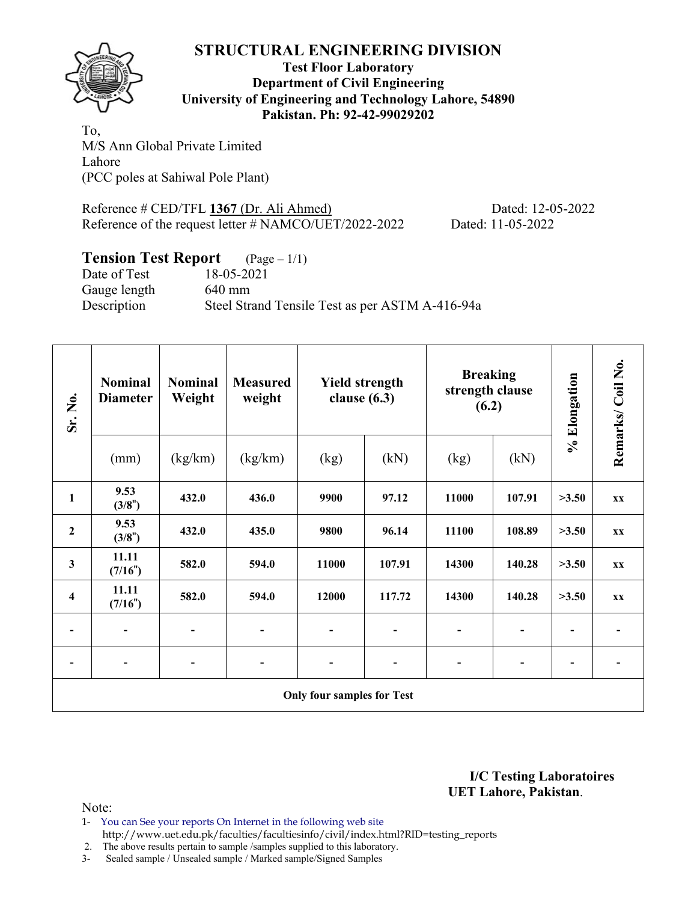

**Test Floor Laboratory Department of Civil Engineering University of Engineering and Technology Lahore, 54890 Pakistan. Ph: 92-42-99029202** 

To, M/S Ann Global Private Limited Lahore (PCC poles at Sahiwal Pole Plant)

Reference # CED/TFL **1367** (Dr. Ali Ahmed) Dated: 12-05-2022 Reference of the request letter # NAMCO/UET/2022-2022 Dated: 11-05-2022

# **Tension Test Report** (Page – 1/1)<br>Date of Test 18-05-2021

Date of Test 18-05-2021 Gauge length 640 mm Description Steel Strand Tensile Test as per ASTM A-416-94a

| Sr. No.                 | <b>Nominal</b><br><b>Diameter</b> | <b>Nominal</b><br>Weight | <b>Measured</b><br>weight    | <b>Yield strength</b><br>clause $(6.3)$ |        | <b>Breaking</b><br>strength clause<br>(6.2) |        | % Elongation             | Remarks/Coil No.         |
|-------------------------|-----------------------------------|--------------------------|------------------------------|-----------------------------------------|--------|---------------------------------------------|--------|--------------------------|--------------------------|
|                         | (mm)                              | (kg/km)                  | (kg/km)                      | (kg)                                    | (kN)   | (kg)                                        | (kN)   |                          |                          |
| $\mathbf{1}$            | 9.53<br>(3/8")                    | 432.0                    | 436.0                        | 9900                                    | 97.12  | 11000                                       | 107.91 | >3.50                    | <b>XX</b>                |
| $\boldsymbol{2}$        | 9.53<br>(3/8")                    | 432.0                    | 435.0                        | 9800                                    | 96.14  | 11100                                       | 108.89 | >3.50                    | <b>XX</b>                |
| $\mathbf{3}$            | 11.11<br>(7/16")                  | 582.0                    | 594.0                        | 11000                                   | 107.91 | 14300                                       | 140.28 | >3.50                    | <b>XX</b>                |
| $\overline{\mathbf{4}}$ | 11.11<br>(7/16")                  | 582.0                    | 594.0                        | 12000                                   | 117.72 | 14300                                       | 140.28 | >3.50                    | <b>XX</b>                |
|                         |                                   |                          | $\qquad \qquad \blacksquare$ |                                         |        |                                             |        |                          |                          |
|                         | $\overline{a}$                    | ٠                        | $\overline{\phantom{a}}$     | $\overline{a}$<br>-                     |        |                                             |        | $\overline{\phantom{a}}$ | $\overline{\phantom{a}}$ |
|                         |                                   |                          |                              | <b>Only four samples for Test</b>       |        |                                             |        |                          |                          |

**I/C Testing Laboratoires UET Lahore, Pakistan**.

- 1- You can See your reports On Internet in the following web site http://www.uet.edu.pk/faculties/facultiesinfo/civil/index.html?RID=testing\_reports
- 2. The above results pertain to sample /samples supplied to this laboratory.
- 3- Sealed sample / Unsealed sample / Marked sample/Signed Samples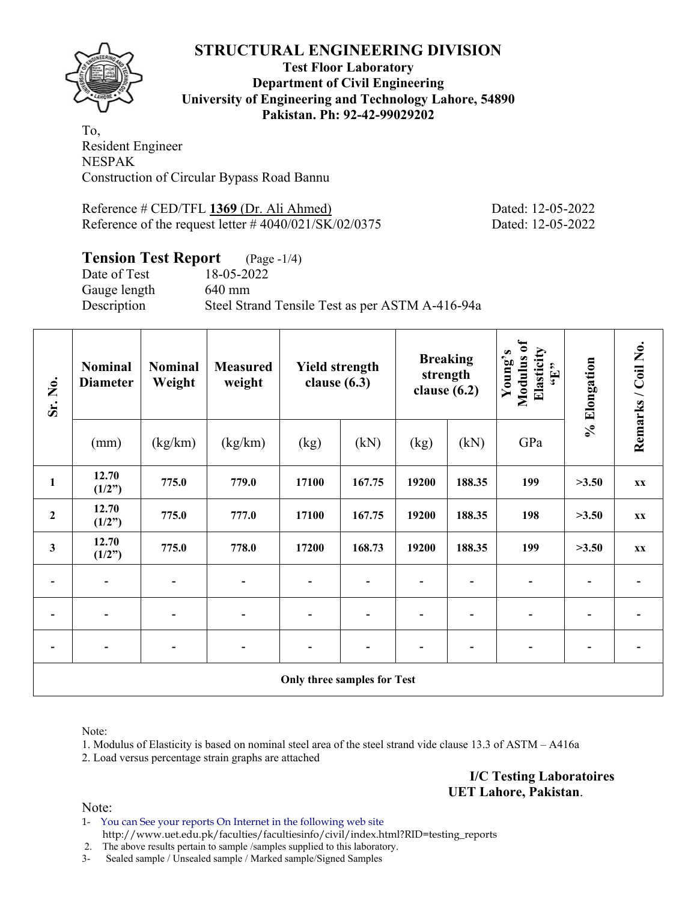

# **Test Floor Laboratory Department of Civil Engineering University of Engineering and Technology Lahore, 54890 Pakistan. Ph: 92-42-99029202**

To, Resident Engineer NESPAK Construction of Circular Bypass Road Bannu

Reference # CED/TFL **1369** (Dr. Ali Ahmed) Dated: 12-05-2022 Reference of the request letter # 4040/021/SK/02/0375 Dated: 12-05-2022

# **Tension Test Report** (Page -1/4)

Date of Test 18-05-2022 Gauge length 640 mm Description Steel Strand Tensile Test as per ASTM A-416-94a

| Sr. No.          | <b>Nominal</b><br><b>Diameter</b> | <b>Nominal</b><br>Weight | <b>Measured</b><br>weight | <b>Yield strength</b><br>clause $(6.3)$ |        | clause $(6.2)$ | <b>Breaking</b><br>strength | Modulus of<br>Elasticity<br>Young's<br>$\mathbf{f}$ . | % Elongation | Remarks / Coil No. |
|------------------|-----------------------------------|--------------------------|---------------------------|-----------------------------------------|--------|----------------|-----------------------------|-------------------------------------------------------|--------------|--------------------|
|                  | (mm)                              | (kg/km)                  | (kg/km)                   | (kg)                                    | (kN)   | (kg)           | (kN)                        | GPa                                                   |              |                    |
| $\mathbf{1}$     | 12.70<br>(1/2")                   | 775.0                    | 779.0                     | 17100                                   | 167.75 | 19200          | 188.35                      | 199                                                   | >3.50        | XX                 |
| $\boldsymbol{2}$ | 12.70<br>(1/2")                   | 775.0                    | 777.0                     | 17100                                   | 167.75 | 19200          | 188.35                      | 198                                                   | >3.50        | XX                 |
| $\mathbf{3}$     | 12.70<br>(1/2")                   | 775.0                    | 778.0                     | 17200                                   | 168.73 | 19200          | 188.35                      | 199                                                   | >3.50        | XX                 |
| $\overline{a}$   | $\overline{\phantom{a}}$          |                          |                           | $\qquad \qquad \blacksquare$            |        |                |                             | $\blacksquare$                                        |              |                    |
|                  |                                   |                          |                           |                                         |        |                |                             |                                                       |              |                    |
|                  |                                   |                          |                           |                                         |        |                |                             |                                                       |              |                    |
|                  |                                   |                          |                           | Only three samples for Test             |        |                |                             |                                                       |              |                    |

Note:

1. Modulus of Elasticity is based on nominal steel area of the steel strand vide clause 13.3 of ASTM – A416a

2. Load versus percentage strain graphs are attached

**I/C Testing Laboratoires UET Lahore, Pakistan**.

Note:

1- You can See your reports On Internet in the following web site http://www.uet.edu.pk/faculties/facultiesinfo/civil/index.html?RID=testing\_reports

2. The above results pertain to sample /samples supplied to this laboratory.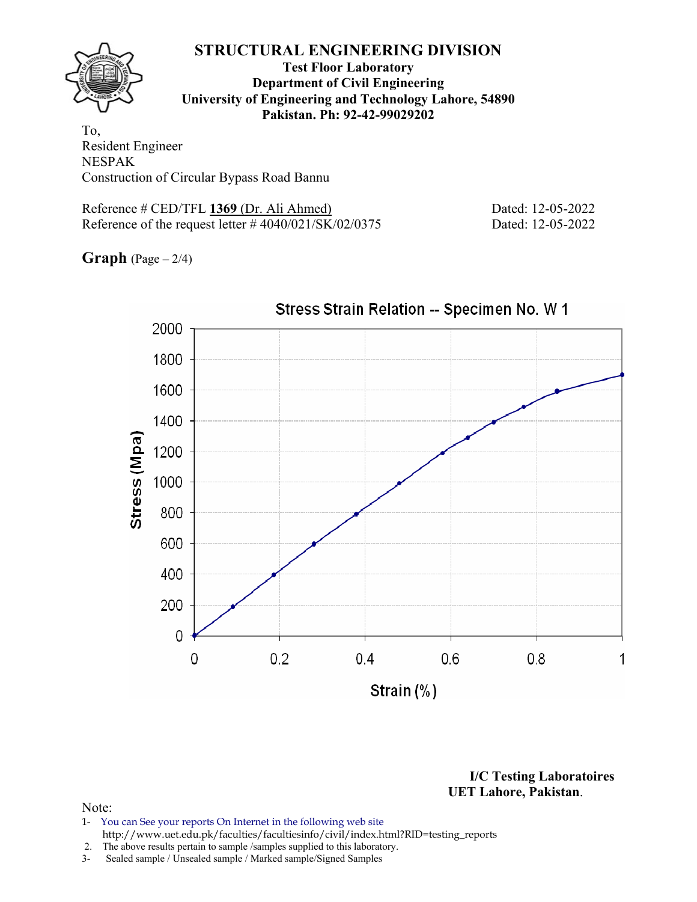**Test Floor Laboratory Department of Civil Engineering University of Engineering and Technology Lahore, 54890 Pakistan. Ph: 92-42-99029202** 

To, Resident Engineer NESPAK Construction of Circular Bypass Road Bannu

Reference # CED/TFL **1369** (Dr. Ali Ahmed) Dated: 12-05-2022 Reference of the request letter # 4040/021/SK/02/0375 Dated: 12-05-2022

**Graph** (Page – 2/4)



**I/C Testing Laboratoires UET Lahore, Pakistan**.

- 1- You can See your reports On Internet in the following web site http://www.uet.edu.pk/faculties/facultiesinfo/civil/index.html?RID=testing\_reports
- 2. The above results pertain to sample /samples supplied to this laboratory.
- 3- Sealed sample / Unsealed sample / Marked sample/Signed Samples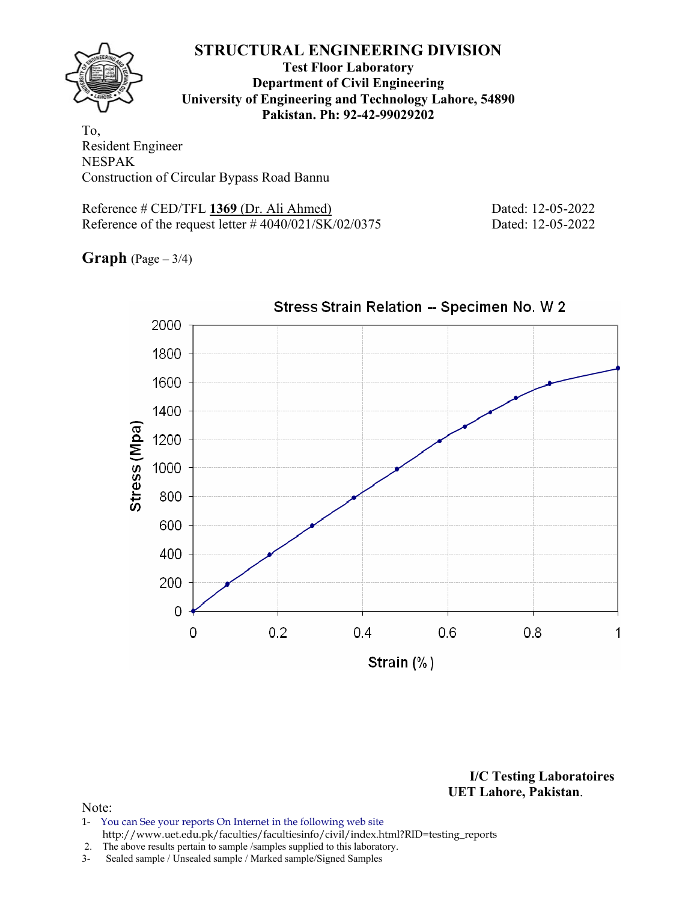**Test Floor Laboratory Department of Civil Engineering University of Engineering and Technology Lahore, 54890 Pakistan. Ph: 92-42-99029202** 

To, Resident Engineer NESPAK Construction of Circular Bypass Road Bannu

Reference # CED/TFL **1369** (Dr. Ali Ahmed) Dated: 12-05-2022 Reference of the request letter # 4040/021/SK/02/0375 Dated: 12-05-2022

**Graph** (Page – 3/4)



Stress Strain Relation -- Specimen No. W 2

**I/C Testing Laboratoires UET Lahore, Pakistan**.

### Note:

1- You can See your reports On Internet in the following web site http://www.uet.edu.pk/faculties/facultiesinfo/civil/index.html?RID=testing\_reports

2. The above results pertain to sample /samples supplied to this laboratory.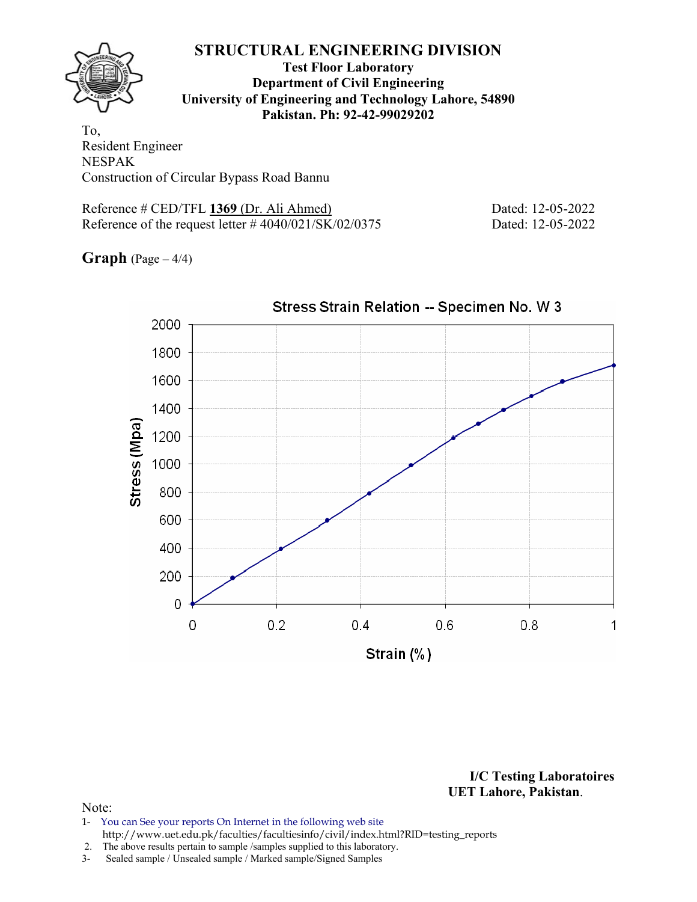**Test Floor Laboratory Department of Civil Engineering University of Engineering and Technology Lahore, 54890 Pakistan. Ph: 92-42-99029202** 

To, Resident Engineer NESPAK Construction of Circular Bypass Road Bannu

Reference # CED/TFL **1369** (Dr. Ali Ahmed) Dated: 12-05-2022 Reference of the request letter # 4040/021/SK/02/0375 Dated: 12-05-2022

**Graph** (Page – 4/4)



Stress Strain Relation -- Specimen No. W 3

**I/C Testing Laboratoires UET Lahore, Pakistan**.

- 1- You can See your reports On Internet in the following web site http://www.uet.edu.pk/faculties/facultiesinfo/civil/index.html?RID=testing\_reports
- 2. The above results pertain to sample /samples supplied to this laboratory.
- 3- Sealed sample / Unsealed sample / Marked sample/Signed Samples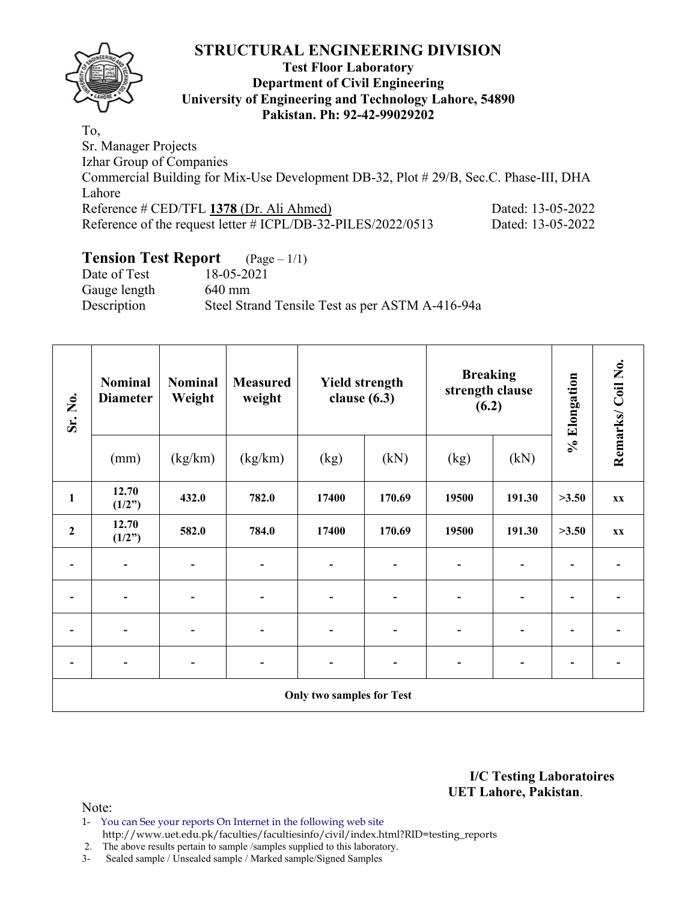

# **Test Floor Laboratory Department of Civil Engineering University of Engineering and Technology Lahore, 54890 Pakistan. Ph: 92-42-99029202**

To, Sr. Manager Projects Izhar Group of Companies Commercial Building for Mix-Use Development DB-32, Plot # 29/B, Sec.C. Phase-III, DHA Lahore Reference # CED/TFL **1378** (Dr. Ali Ahmed) Dated: 13-05-2022 Reference of the request letter # ICPL/DB-32-PILES/2022/0513 Dated: 13-05-2022

# **Tension Test Report** (Page – 1/1)

| Date of Test | 18-05-2021                                      |
|--------------|-------------------------------------------------|
| Gauge length | 640 mm                                          |
| Description  | Steel Strand Tensile Test as per ASTM A-416-94a |
|              |                                                 |

| Sr. No.                  | <b>Nominal</b><br><b>Diameter</b> | <b>Nominal</b><br><b>Measured</b><br>Weight<br>weight |                          | <b>Yield strength</b><br>clause $(6.3)$ |        | <b>Breaking</b><br>strength clause<br>(6.2) |                | % Elongation             | Remarks/Coil No.         |
|--------------------------|-----------------------------------|-------------------------------------------------------|--------------------------|-----------------------------------------|--------|---------------------------------------------|----------------|--------------------------|--------------------------|
|                          | (mm)                              | (kg/km)                                               | (kg/km)                  | (kg)                                    | (kN)   | (kg)                                        | (kN)           |                          |                          |
| $\mathbf{1}$             | 12.70<br>(1/2")                   | 432.0                                                 | 782.0                    | 17400                                   | 170.69 | 19500                                       | 191.30         | >3.50                    | <b>XX</b>                |
| $\mathbf{2}$             | 12.70<br>(1/2")                   | 582.0                                                 | 784.0                    | 17400                                   | 170.69 | 19500                                       | 191.30         | >3.50                    | $\mathbf{X} \mathbf{X}$  |
|                          |                                   |                                                       | $\overline{\phantom{a}}$ | $\qquad \qquad \blacksquare$            | -      |                                             | $\overline{a}$ | $\blacksquare$           | $\overline{\phantom{a}}$ |
|                          |                                   |                                                       | $\overline{\phantom{a}}$ |                                         |        |                                             |                |                          |                          |
|                          |                                   |                                                       |                          |                                         |        |                                             |                |                          |                          |
| $\overline{\phantom{a}}$ | $\overline{\phantom{0}}$          |                                                       | $\blacksquare$           | $\overline{\phantom{0}}$                | ۰      |                                             | $\overline{a}$ | $\overline{\phantom{0}}$ | $\overline{\phantom{a}}$ |
|                          |                                   |                                                       |                          | <b>Only two samples for Test</b>        |        |                                             |                |                          |                          |

**I/C Testing Laboratoires UET Lahore, Pakistan**.

- 1- You can See your reports On Internet in the following web site http://www.uet.edu.pk/faculties/facultiesinfo/civil/index.html?RID=testing\_reports
- 2. The above results pertain to sample /samples supplied to this laboratory.
- 3- Sealed sample / Unsealed sample / Marked sample/Signed Samples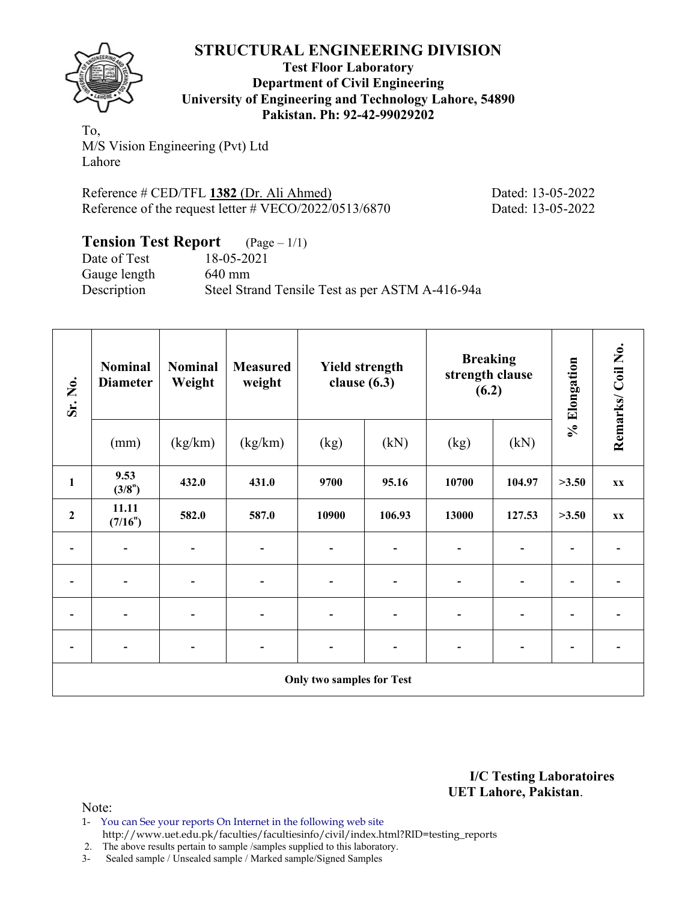

**Test Floor Laboratory Department of Civil Engineering University of Engineering and Technology Lahore, 54890 Pakistan. Ph: 92-42-99029202** 

To, M/S Vision Engineering (Pvt) Ltd Lahore

Reference # CED/TFL **1382** (Dr. Ali Ahmed) Dated: 13-05-2022 Reference of the request letter # VECO/2022/0513/6870 Dated: 13-05-2022

| <b>Tension Test Report</b> $(Page-1/1)$ |                                                 |
|-----------------------------------------|-------------------------------------------------|
| Date of Test                            | 18-05-2021                                      |
| Gauge length                            | $640 \text{ mm}$                                |
| Description                             | Steel Strand Tensile Test as per ASTM A-416-94a |

| Sr. No.                      | <b>Nominal</b><br><b>Diameter</b> | <b>Nominal</b><br><b>Measured</b><br>Weight<br>weight |                              | <b>Yield strength</b><br>clause $(6.3)$ |        | <b>Breaking</b><br>strength clause<br>(6.2) |        | % Elongation             | Remarks/Coil No.         |
|------------------------------|-----------------------------------|-------------------------------------------------------|------------------------------|-----------------------------------------|--------|---------------------------------------------|--------|--------------------------|--------------------------|
|                              | (mm)                              | (kg/km)                                               | (kg/km)                      | (kg)                                    | (kN)   | (kg)                                        | (kN)   |                          |                          |
| $\mathbf{1}$                 | 9.53<br>(3/8")                    | 432.0                                                 | 431.0                        | 9700                                    | 95.16  | 10700                                       | 104.97 | >3.50                    | <b>XX</b>                |
| $\mathbf{2}$                 | 11.11<br>(7/16")                  | 582.0<br>587.0                                        |                              | 10900                                   | 106.93 | 13000                                       | 127.53 | >3.50                    | <b>XX</b>                |
|                              |                                   |                                                       | $\qquad \qquad \blacksquare$ |                                         |        |                                             |        |                          |                          |
| $\qquad \qquad -$            |                                   |                                                       | $\qquad \qquad \blacksquare$ |                                         |        | $\blacksquare$                              |        | $\overline{\phantom{0}}$ |                          |
| $\qquad \qquad \blacksquare$ | $\blacksquare$                    |                                                       | $\qquad \qquad \blacksquare$ | ۰                                       |        | $\qquad \qquad \blacksquare$                |        | $\overline{\phantom{0}}$ | $\overline{\phantom{0}}$ |
| $\overline{\phantom{a}}$     | $\blacksquare$                    | $\overline{\phantom{a}}$                              | $\overline{\phantom{a}}$     | -                                       | -      | $\blacksquare$<br>$\overline{\phantom{a}}$  |        | $\overline{\phantom{a}}$ | $\blacksquare$           |
|                              |                                   |                                                       |                              | <b>Only two samples for Test</b>        |        |                                             |        |                          |                          |

**I/C Testing Laboratoires UET Lahore, Pakistan**.

Note:

1- You can See your reports On Internet in the following web site http://www.uet.edu.pk/faculties/facultiesinfo/civil/index.html?RID=testing\_reports

2. The above results pertain to sample /samples supplied to this laboratory.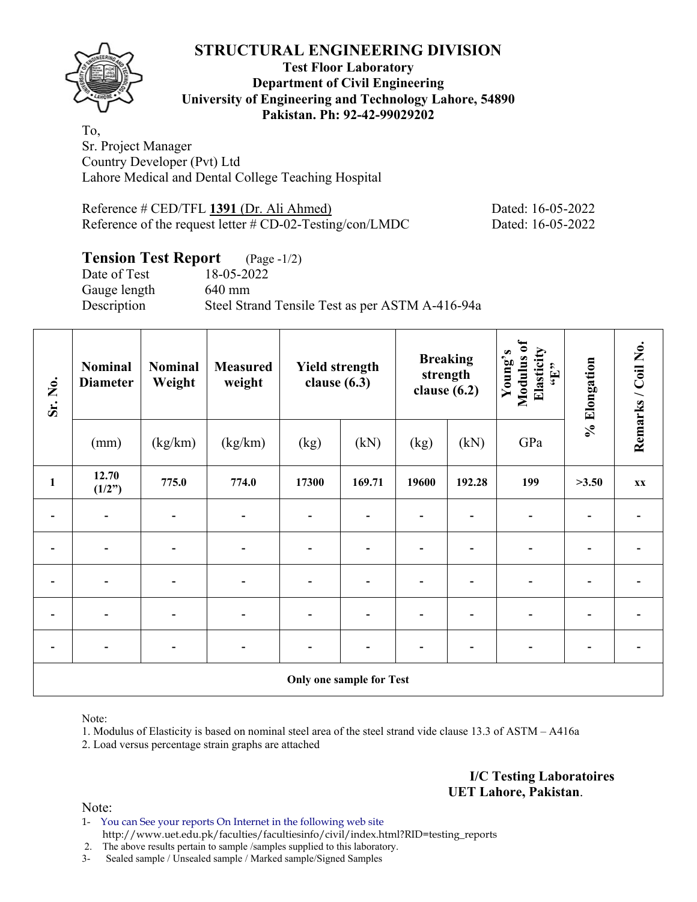# **Test Floor Laboratory Department of Civil Engineering University of Engineering and Technology Lahore, 54890 Pakistan. Ph: 92-42-99029202**

To, Sr. Project Manager Country Developer (Pvt) Ltd Lahore Medical and Dental College Teaching Hospital

| Reference # CED/TFL 1391 (Dr. Ali Ahmed)                    | Dated |
|-------------------------------------------------------------|-------|
| Reference of the request letter $\#$ CD-02-Testing/con/LMDC | Dated |

Post 16-05-2022  $R: 16-05-2022$ 

# **Tension Test Report** (Page -1/2)

Date of Test 18-05-2022 Gauge length 640 mm Description Steel Strand Tensile Test as per ASTM A-416-94a

| Sr. No.        | <b>Nominal</b><br><b>Diameter</b> | Nominal<br><b>Measured</b><br><b>Yield strength</b><br>Weight<br>clause $(6.3)$<br>weight |         |                |                                 | <b>Breaking</b><br>strength<br>clause $(6.2)$ |        | Modulus of<br>Elasticity<br>Young's<br>$\mathbf{f}$ . | % Elongation | Remarks / Coil No. |
|----------------|-----------------------------------|-------------------------------------------------------------------------------------------|---------|----------------|---------------------------------|-----------------------------------------------|--------|-------------------------------------------------------|--------------|--------------------|
|                | (mm)                              | (kg/km)                                                                                   | (kg/km) | (kg)           | (kN)                            | (kg)                                          | (kN)   | GPa                                                   |              |                    |
| $\mathbf{1}$   | 12.70<br>(1/2")                   | 775.0                                                                                     | 774.0   | 17300          | 169.71                          | 19600                                         | 192.28 | 199                                                   | >3.50        | <b>XX</b>          |
|                |                                   |                                                                                           |         |                |                                 |                                               |        |                                                       |              |                    |
| -              |                                   |                                                                                           |         | $\blacksquare$ |                                 |                                               |        |                                                       |              |                    |
| $\overline{a}$ |                                   |                                                                                           |         |                |                                 |                                               |        |                                                       |              |                    |
|                |                                   |                                                                                           |         |                |                                 |                                               |        |                                                       |              |                    |
|                |                                   |                                                                                           |         |                |                                 |                                               |        |                                                       |              |                    |
|                |                                   |                                                                                           |         |                | <b>Only one sample for Test</b> |                                               |        |                                                       |              |                    |

Note:

1. Modulus of Elasticity is based on nominal steel area of the steel strand vide clause 13.3 of ASTM – A416a

2. Load versus percentage strain graphs are attached

**I/C Testing Laboratoires UET Lahore, Pakistan**.

Note:

1- You can See your reports On Internet in the following web site http://www.uet.edu.pk/faculties/facultiesinfo/civil/index.html?RID=testing\_reports

2. The above results pertain to sample /samples supplied to this laboratory.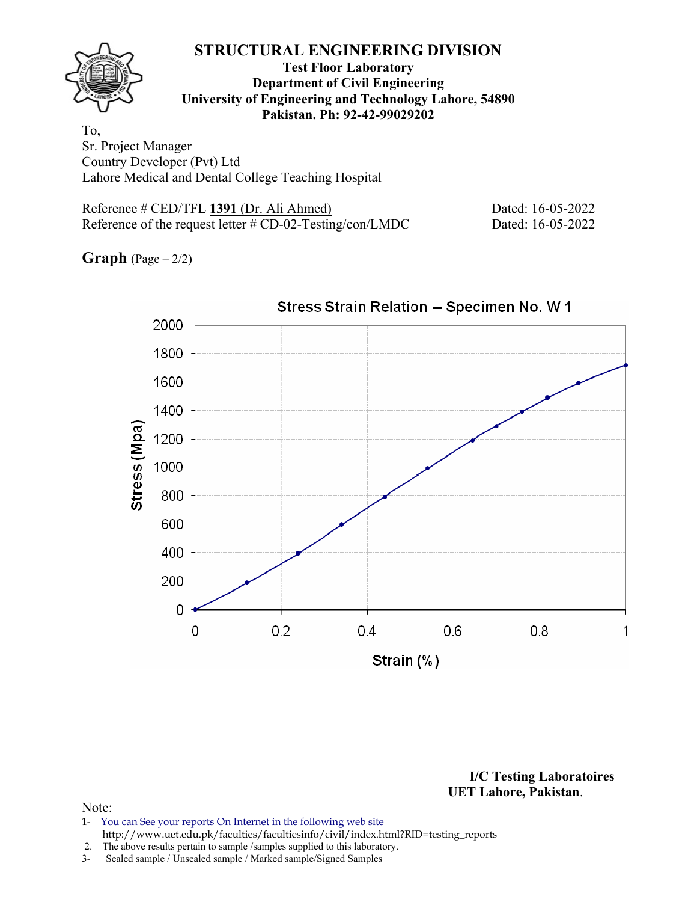

# **Test Floor Laboratory Department of Civil Engineering University of Engineering and Technology Lahore, 54890 Pakistan. Ph: 92-42-99029202**

To, Sr. Project Manager Country Developer (Pvt) Ltd Lahore Medical and Dental College Teaching Hospital

| Reference # CED/TFL 1391 (Dr. Ali Ahmed)                    | Dated: 16-05-2022 |
|-------------------------------------------------------------|-------------------|
| Reference of the request letter $\#$ CD-02-Testing/con/LMDC | Dated: 16-05-2022 |

**Graph**  $(Page - 2/2)$ 



Stress Strain Relation -- Specimen No. W 1

**I/C Testing Laboratoires UET Lahore, Pakistan**.

### Note:

1- You can See your reports On Internet in the following web site http://www.uet.edu.pk/faculties/facultiesinfo/civil/index.html?RID=testing\_reports

2. The above results pertain to sample / samples supplied to this laboratory.<br>3- Sealed sample / Unsealed sample / Marked sample/Signed Samples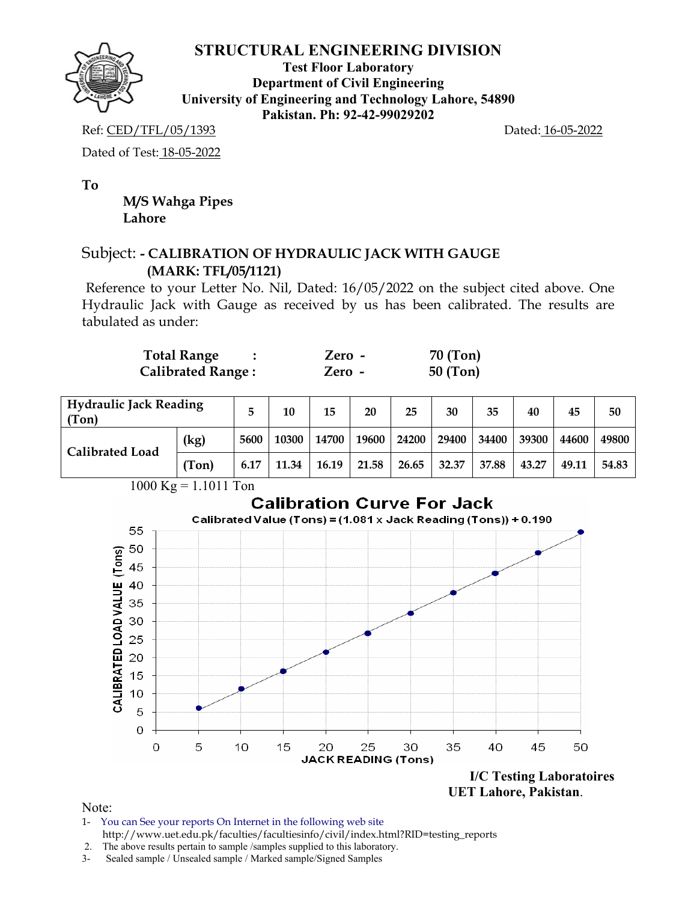

**Test Floor Laboratory Department of Civil Engineering University of Engineering and Technology Lahore, 54890 Pakistan. Ph: 92-42-99029202** 

Ref: CED/TFL/05/1393 Dated: 16-05-2022

Dated of Test: 18-05-2022

**To** 

 **M/S Wahga Pipes Lahore** 

# Subject: **- CALIBRATION OF HYDRAULIC JACK WITH GAUGE (MARK: TFL/05/1121)**

Reference to your Letter No. Nil, Dated: 16/05/2022 on the subject cited above. One Hydraulic Jack with Gauge as received by us has been calibrated. The results are tabulated as under:

| <b>Total Range</b>       | Zero - | 70 (Ton)   |
|--------------------------|--------|------------|
| <b>Calibrated Range:</b> | Zero - | $50$ (Ton) |

| <b>Hydraulic Jack Reading</b><br>(Ton) |       | 10   | 15    | 20    | 25    | 30    | 35    | 40    | 45    | 50    |       |
|----------------------------------------|-------|------|-------|-------|-------|-------|-------|-------|-------|-------|-------|
| <b>Calibrated Load</b>                 | (kg)  | 5600 | 10300 | 14700 | 19600 | 24200 | 29400 | 34400 | 39300 | 44600 | 49800 |
|                                        | (Ton) | 6.17 | 11.34 | 16.19 | 21.58 | 26.65 | 32.37 | 37.88 | 43.27 | 49.11 | 54.83 |



Note:

1- You can See your reports On Internet in the following web site http://www.uet.edu.pk/faculties/facultiesinfo/civil/index.html?RID=testing\_reports

2. The above results pertain to sample /samples supplied to this laboratory.